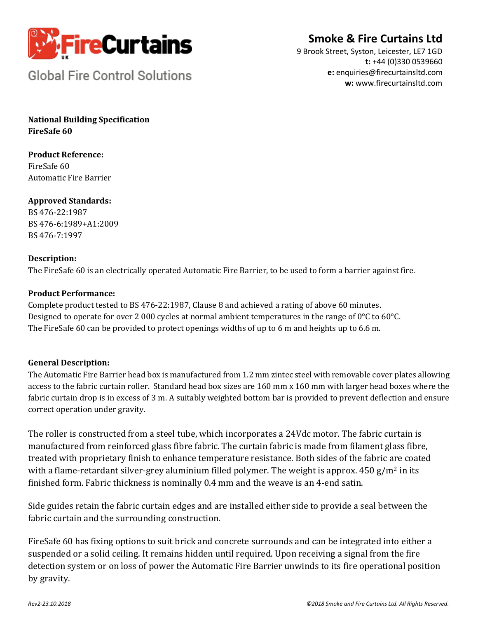

**Smoke & Fire Curtains Ltd** 

**Global Fire Control Solutions** 

9 Brook Street, Syston, Leicester, LE7 1GD **t:** +44 (0)330 0539660 **e:** enquiries@firecurtainsltd.com **w:** [www.firecurtainsltd.com](http://www.firecurtainsltd.com/)

**National Building Specification FireSafe 60**

**Product Reference:** FireSafe 60 Automatic Fire Barrier

**Approved Standards:** BS 476-22:1987 BS 476-6:1989+A1:2009 BS 476-7:1997

## **Description:**

The FireSafe 60 is an electrically operated Automatic Fire Barrier, to be used to form a barrier against fire.

#### **Product Performance:**

Complete product tested to BS 476-22:1987, Clause 8 and achieved a rating of above 60 minutes. Designed to operate for over 2 000 cycles at normal ambient temperatures in the range of 0°C to 60°C. The FireSafe 60 can be provided to protect openings widths of up to 6 m and heights up to 6.6 m.

#### **General Description:**

The Automatic Fire Barrier head box is manufactured from 1.2 mm zintec steel with removable cover plates allowing access to the fabric curtain roller. Standard head box sizes are 160 mm x 160 mm with larger head boxes where the fabric curtain drop is in excess of 3 m. A suitably weighted bottom bar is provided to prevent deflection and ensure correct operation under gravity.

The roller is constructed from a steel tube, which incorporates a 24Vdc motor. The fabric curtain is manufactured from reinforced glass fibre fabric. The curtain fabric is made from filament glass fibre, treated with proprietary finish to enhance temperature resistance. Both sides of the fabric are coated with a flame-retardant silver-grey aluminium filled polymer. The weight is approx.  $450 g/m^2$  in its finished form. Fabric thickness is nominally 0.4 mm and the weave is an 4-end satin.

Side guides retain the fabric curtain edges and are installed either side to provide a seal between the fabric curtain and the surrounding construction.

FireSafe 60 has fixing options to suit brick and concrete surrounds and can be integrated into either a suspended or a solid ceiling. It remains hidden until required. Upon receiving a signal from the fire detection system or on loss of power the Automatic Fire Barrier unwinds to its fire operational position by gravity.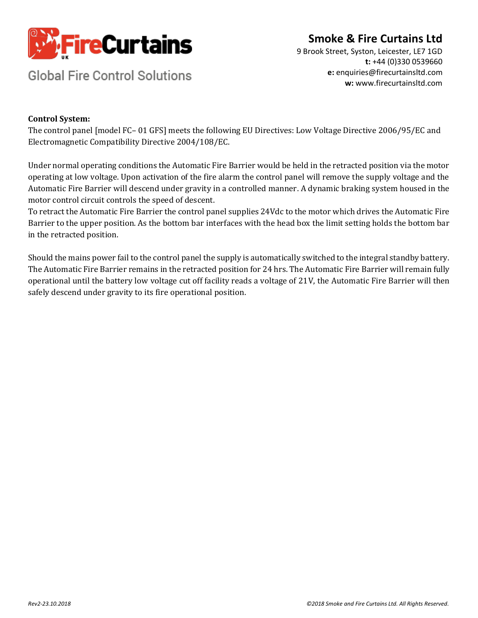

# **Smoke & Fire Curtains Ltd**

**Global Fire Control Solutions** 

9 Brook Street, Syston, Leicester, LE7 1GD **t:** +44 (0)330 0539660 **e:** enquiries@firecurtainsltd.com **w:** [www.firecurtainsltd.com](http://www.firecurtainsltd.com/)

## **Control System:**

The control panel [model FC– 01 GFS] meets the following EU Directives: Low Voltage Directive 2006/95/EC and Electromagnetic Compatibility Directive 2004/108/EC.

Under normal operating conditions the Automatic Fire Barrier would be held in the retracted position via the motor operating at low voltage. Upon activation of the fire alarm the control panel will remove the supply voltage and the Automatic Fire Barrier will descend under gravity in a controlled manner. A dynamic braking system housed in the motor control circuit controls the speed of descent.

To retract the Automatic Fire Barrier the control panel supplies 24Vdc to the motor which drives the Automatic Fire Barrier to the upper position. As the bottom bar interfaces with the head box the limit setting holds the bottom bar in the retracted position.

Should the mains power fail to the control panel the supply is automatically switched to the integral standby battery. The Automatic Fire Barrier remains in the retracted position for 24 hrs. The Automatic Fire Barrier will remain fully operational until the battery low voltage cut off facility reads a voltage of 21V, the Automatic Fire Barrier will then safely descend under gravity to its fire operational position.